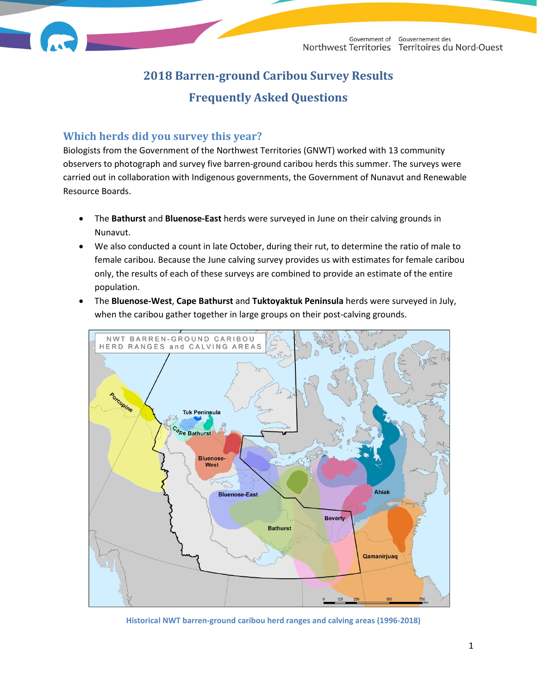# **2018 Barren-ground Caribou Survey Results Frequently Asked Questions**

### **Which herds did you survey this year?**

Biologists from the Government of the Northwest Territories (GNWT) worked with 13 community observers to photograph and survey five barren-ground caribou herds this summer. The surveys were carried out in collaboration with Indigenous governments, the Government of Nunavut and Renewable Resource Boards.

- The **Bathurst** and **Bluenose-East** herds were surveyed in June on their calving grounds in Nunavut.
- We also conducted a count in late October, during their rut, to determine the ratio of male to female caribou. Because the June calving survey provides us with estimates for female caribou only, the results of each of these surveys are combined to provide an estimate of the entire population.
- The **Bluenose-West**, **Cape Bathurst** and **Tuktoyaktuk Peninsula** herds were surveyed in July, when the caribou gather together in large groups on their post-calving grounds.



**Historical NWT barren-ground caribou herd ranges and calving areas (1996-2018)**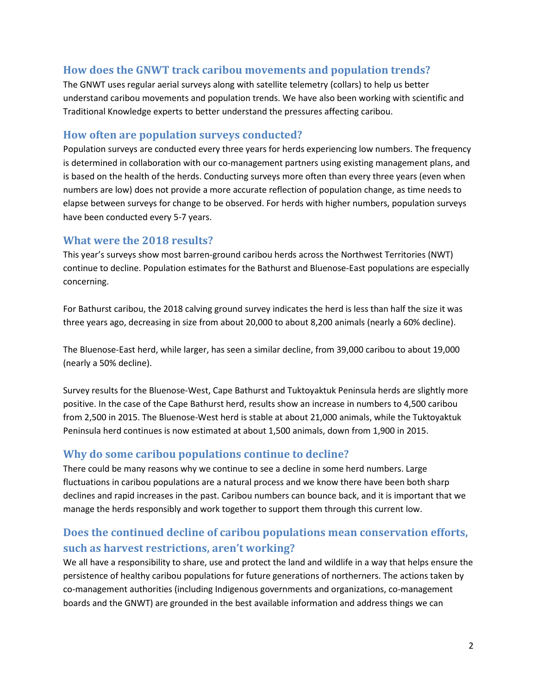# **How does the GNWT track caribou movements and population trends?**

The GNWT uses regular aerial surveys along with satellite telemetry (collars) to help us better understand caribou movements and population trends. We have also been working with scientific and Traditional Knowledge experts to better understand the pressures affecting caribou.

### **How often are population surveys conducted?**

Population surveys are conducted every three years for herds experiencing low numbers. The frequency is determined in collaboration with our co-management partners using existing management plans, and is based on the health of the herds. Conducting surveys more often than every three years (even when numbers are low) does not provide a more accurate reflection of population change, as time needs to elapse between surveys for change to be observed. For herds with higher numbers, population surveys have been conducted every 5-7 years.

# **What were the 2018 results?**

This year's surveys show most barren-ground caribou herds across the Northwest Territories (NWT) continue to decline. Population estimates for the Bathurst and Bluenose-East populations are especially concerning.

For Bathurst caribou, the 2018 calving ground survey indicates the herd is less than half the size it was three years ago, decreasing in size from about 20,000 to about 8,200 animals (nearly a 60% decline).

The Bluenose-East herd, while larger, has seen a similar decline, from 39,000 caribou to about 19,000 (nearly a 50% decline).

Survey results for the Bluenose-West, Cape Bathurst and Tuktoyaktuk Peninsula herds are slightly more positive. In the case of the Cape Bathurst herd, results show an increase in numbers to 4,500 caribou from 2,500 in 2015. The Bluenose-West herd is stable at about 21,000 animals, while the Tuktoyaktuk Peninsula herd continues is now estimated at about 1,500 animals, down from 1,900 in 2015.

# **Why do some caribou populations continue to decline?**

There could be many reasons why we continue to see a decline in some herd numbers. Large fluctuations in caribou populations are a natural process and we know there have been both sharp declines and rapid increases in the past. Caribou numbers can bounce back, and it is important that we manage the herds responsibly and work together to support them through this current low.

# **Does the continued decline of caribou populations mean conservation efforts, such as harvest restrictions, aren't working?**

We all have a responsibility to share, use and protect the land and wildlife in a way that helps ensure the persistence of healthy caribou populations for future generations of northerners. The actions taken by co-management authorities (including Indigenous governments and organizations, co-management boards and the GNWT) are grounded in the best available information and address things we can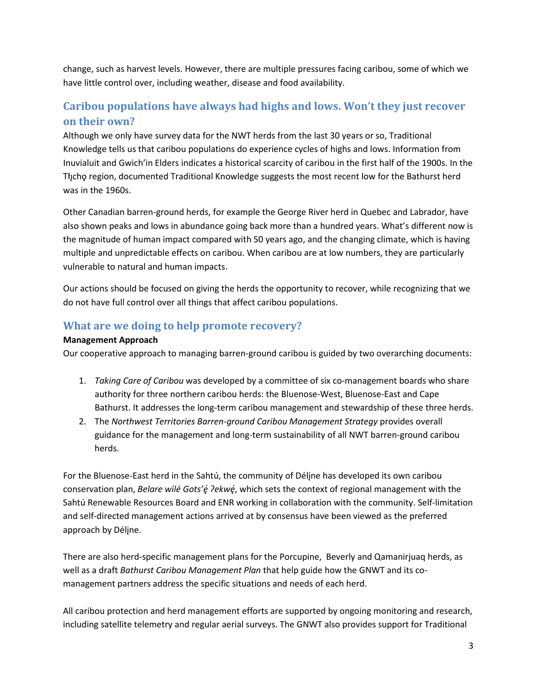change, such as harvest levels. However, there are multiple pressures facing caribou, some of which we have little control over, including weather, disease and food availability.

# **Caribou populations have always had highs and lows. Won't they just recover on their own?**

Although we only have survey data for the NWT herds from the last 30 years or so, Traditional Knowledge tells us that caribou populations do experience cycles of highs and lows. Information from Inuvialuit and Gwich'in Elders indicates a historical scarcity of caribou in the first half of the 1900s. In the Tłįcho region, documented Traditional Knowledge suggests the most recent low for the Bathurst herd was in the 1960s.

Other Canadian barren-ground herds, for example the George River herd in Quebec and Labrador, have also shown peaks and lows in abundance going back more than a hundred years. What's different now is the magnitude of human impact compared with 50 years ago, and the changing climate, which is having multiple and unpredictable effects on caribou. When caribou are at low numbers, they are particularly vulnerable to natural and human impacts.

Our actions should be focused on giving the herds the opportunity to recover, while recognizing that we do not have full control over all things that affect caribou populations.

# **What are we doing to help promote recovery?**

#### **Management Approach**

Our cooperative approach to managing barren-ground caribou is guided by two overarching documents:

- 1. *Taking Care of Caribou* was developed by a committee of six co-management boards who share authority for three northern caribou herds: the Bluenose-West, Bluenose-East and Cape Bathurst. It addresses the long-term caribou management and stewardship of these three herds.
- 2. The *Northwest Territories Barren-ground Caribou Management Strategy* provides overall guidance for the management and long-term sustainability of all NWT barren-ground caribou herds.

For the Bluenose-East herd in the Sahtú, the community of Délįne has developed its own caribou conservation plan, *Belare wilé Gots'é ?ekwé*, which sets the context of regional management with the Sahtú Renewable Resources Board and ENR working in collaboration with the community. Self-limitation and self-directed management actions arrived at by consensus have been viewed as the preferred approach by Délįne.

There are also herd-specific management plans for the Porcupine, Beverly and Qamanirjuaq herds, as well as a draft *Bathurst Caribou Management Plan* that help guide how the GNWT and its comanagement partners address the specific situations and needs of each herd.

All caribou protection and herd management efforts are supported by ongoing monitoring and research, including satellite telemetry and regular aerial surveys. The GNWT also provides support for Traditional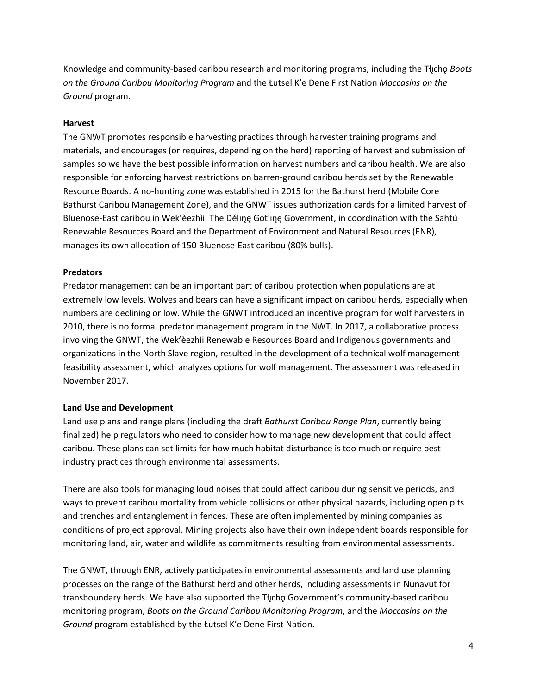Knowledge and community-based caribou research and monitoring programs, including the Tłı̨chǫ *Boots on the Ground Caribou Monitoring Program* and the Łutsel K'e Dene First Nation *Moccasins on the Ground* program.

#### **Harvest**

The GNWT promotes responsible harvesting practices through harvester training programs and materials, and encourages (or requires, depending on the herd) reporting of harvest and submission of samples so we have the best possible information on harvest numbers and caribou health. We are also responsible for enforcing harvest restrictions on barren-ground caribou herds set by the Renewable Resource Boards. A no-hunting zone was established in 2015 for the Bathurst herd (Mobile Core Bathurst Caribou Management Zone), and the GNWT issues authorization cards for a limited harvest of Bluenose-East caribou in Wek'èezhìi. The Déline Got'ine Government, in coordination with the Sahtú Renewable Resources Board and the Department of Environment and Natural Resources (ENR), manages its own allocation of 150 Bluenose-East caribou (80% bulls).

#### **Predators**

Predator management can be an important part of caribou protection when populations are at extremely low levels. Wolves and bears can have a significant impact on caribou herds, especially when numbers are declining or low. While the GNWT introduced an incentive program for wolf harvesters in 2010, there is no formal predator management program in the NWT. In 2017, a collaborative process involving the GNWT, the Wek'èezhìi Renewable Resources Board and Indigenous governments and organizations in the North Slave region, resulted in the development of a technical wolf management feasibility assessment, which analyzes options for wolf management. The assessment was released in November 2017.

#### **Land Use and Development**

Land use plans and range plans (including the draft *Bathurst Caribou Range Plan*, currently being finalized) help regulators who need to consider how to manage new development that could affect caribou. These plans can set limits for how much habitat disturbance is too much or require best industry practices through environmental assessments.

There are also tools for managing loud noises that could affect caribou during sensitive periods, and ways to prevent caribou mortality from vehicle collisions or other physical hazards, including open pits and trenches and entanglement in fences. These are often implemented by mining companies as conditions of project approval. Mining projects also have their own independent boards responsible for monitoring land, air, water and wildlife as commitments resulting from environmental assessments.

The GNWT, through ENR, actively participates in environmental assessments and land use planning processes on the range of the Bathurst herd and other herds, including assessments in Nunavut for transboundary herds. We have also supported the Tłįchǫ Government's community-based caribou monitoring program, *Boots on the Ground Caribou Monitoring Program*, and the *Moccasins on the Ground* program established by the Łutsel K'e Dene First Nation.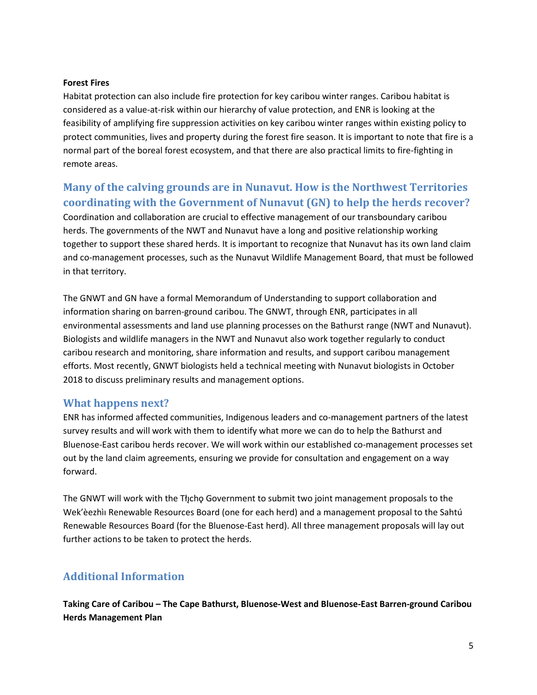#### **Forest Fires**

Habitat protection can also include fire protection for key caribou winter ranges. Caribou habitat is considered as a value-at-risk within our hierarchy of value protection, and ENR is looking at the feasibility of amplifying fire suppression activities on key caribou winter ranges within existing policy to protect communities, lives and property during the forest fire season. It is important to note that fire is a normal part of the boreal forest ecosystem, and that there are also practical limits to fire-fighting in remote areas.

# **Many of the calving grounds are in Nunavut. How is the Northwest Territories coordinating with the Government of Nunavut (GN) to help the herds recover?**

Coordination and collaboration are crucial to effective management of our transboundary caribou herds. The governments of the NWT and Nunavut have a long and positive relationship working together to support these shared herds. It is important to recognize that Nunavut has its own land claim and co-management processes, such as the Nunavut Wildlife Management Board, that must be followed in that territory.

The GNWT and GN have a formal Memorandum of Understanding to support collaboration and information sharing on barren-ground caribou. The GNWT, through ENR, participates in all environmental assessments and land use planning processes on the Bathurst range (NWT and Nunavut). Biologists and wildlife managers in the NWT and Nunavut also work together regularly to conduct caribou research and monitoring, share information and results, and support caribou management efforts. Most recently, GNWT biologists held a technical meeting with Nunavut biologists in October 2018 to discuss preliminary results and management options.

### **What happens next?**

ENR has informed affected communities, Indigenous leaders and co-management partners of the latest survey results and will work with them to identify what more we can do to help the Bathurst and Bluenose-East caribou herds recover. We will work within our established co-management processes set out by the land claim agreements, ensuring we provide for consultation and engagement on a way forward.

The GNWT will work with the Tłycho Government to submit two joint management proposals to the Wek'èezhìı Renewable Resources Board (one for each herd) and a management proposal to the Sahtú Renewable Resources Board (for the Bluenose-East herd). All three management proposals will lay out further actions to be taken to protect the herds.

# **Additional Information**

**Taking Care of Caribou – The Cape Bathurst, Bluenose-West and Bluenose-East Barren-ground Caribou Herds Management Plan**